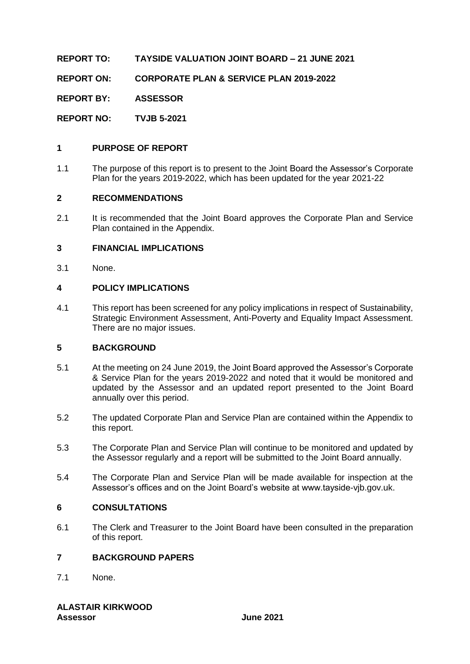**REPORT TO: TAYSIDE VALUATION JOINT BOARD – 21 JUNE 2021**

**REPORT ON: CORPORATE PLAN & SERVICE PLAN 2019-2022**

**REPORT BY: ASSESSOR**

**REPORT NO: TVJB 5-2021**

#### **1 PURPOSE OF REPORT**

1.1 The purpose of this report is to present to the Joint Board the Assessor's Corporate Plan for the years 2019-2022, which has been updated for the year 2021-22

#### **2 RECOMMENDATIONS**

2.1 It is recommended that the Joint Board approves the Corporate Plan and Service Plan contained in the Appendix.

#### **3 FINANCIAL IMPLICATIONS**

3.1 None.

#### **4 POLICY IMPLICATIONS**

4.1 This report has been screened for any policy implications in respect of Sustainability, Strategic Environment Assessment, Anti-Poverty and Equality Impact Assessment. There are no major issues.

#### **5 BACKGROUND**

- 5.1 At the meeting on 24 June 2019, the Joint Board approved the Assessor's Corporate & Service Plan for the years 2019-2022 and noted that it would be monitored and updated by the Assessor and an updated report presented to the Joint Board annually over this period.
- 5.2 The updated Corporate Plan and Service Plan are contained within the Appendix to this report.
- 5.3 The Corporate Plan and Service Plan will continue to be monitored and updated by the Assessor regularly and a report will be submitted to the Joint Board annually.
- 5.4 The Corporate Plan and Service Plan will be made available for inspection at the Assessor's offices and on the Joint Board's website at www.tayside-vjb.gov.uk.

#### **6 CONSULTATIONS**

6.1 The Clerk and Treasurer to the Joint Board have been consulted in the preparation of this report.

### **7 BACKGROUND PAPERS**

7.1 None.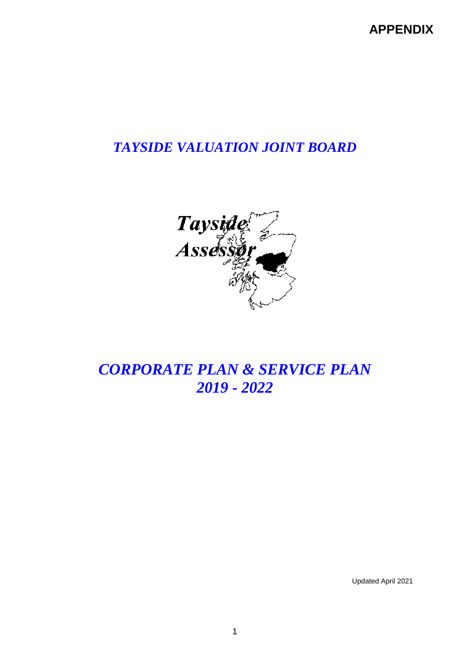**APPENDIX**

## *TAYSIDE VALUATION JOINT BOARD*



## *CORPORATE PLAN & SERVICE PLAN 2019 - 2022*

Updated April 2021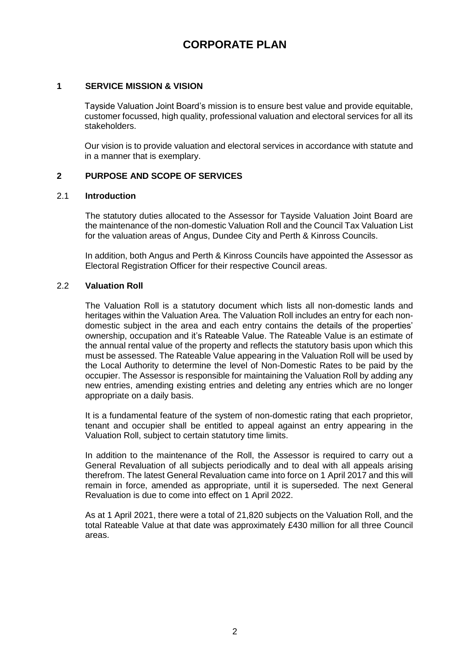## **CORPORATE PLAN**

#### **1 SERVICE MISSION & VISION**

Tayside Valuation Joint Board's mission is to ensure best value and provide equitable, customer focussed, high quality, professional valuation and electoral services for all its stakeholders.

Our vision is to provide valuation and electoral services in accordance with statute and in a manner that is exemplary.

#### **2 PURPOSE AND SCOPE OF SERVICES**

#### 2.1 **Introduction**

The statutory duties allocated to the Assessor for Tayside Valuation Joint Board are the maintenance of the non-domestic Valuation Roll and the Council Tax Valuation List for the valuation areas of Angus, Dundee City and Perth & Kinross Councils.

In addition, both Angus and Perth & Kinross Councils have appointed the Assessor as Electoral Registration Officer for their respective Council areas.

#### 2.2 **Valuation Roll**

The Valuation Roll is a statutory document which lists all non-domestic lands and heritages within the Valuation Area. The Valuation Roll includes an entry for each nondomestic subject in the area and each entry contains the details of the properties' ownership, occupation and it's Rateable Value. The Rateable Value is an estimate of the annual rental value of the property and reflects the statutory basis upon which this must be assessed. The Rateable Value appearing in the Valuation Roll will be used by the Local Authority to determine the level of Non-Domestic Rates to be paid by the occupier. The Assessor is responsible for maintaining the Valuation Roll by adding any new entries, amending existing entries and deleting any entries which are no longer appropriate on a daily basis.

It is a fundamental feature of the system of non-domestic rating that each proprietor, tenant and occupier shall be entitled to appeal against an entry appearing in the Valuation Roll, subject to certain statutory time limits.

In addition to the maintenance of the Roll, the Assessor is required to carry out a General Revaluation of all subjects periodically and to deal with all appeals arising therefrom. The latest General Revaluation came into force on 1 April 2017 and this will remain in force, amended as appropriate, until it is superseded. The next General Revaluation is due to come into effect on 1 April 2022.

As at 1 April 2021, there were a total of 21,820 subjects on the Valuation Roll, and the total Rateable Value at that date was approximately £430 million for all three Council areas.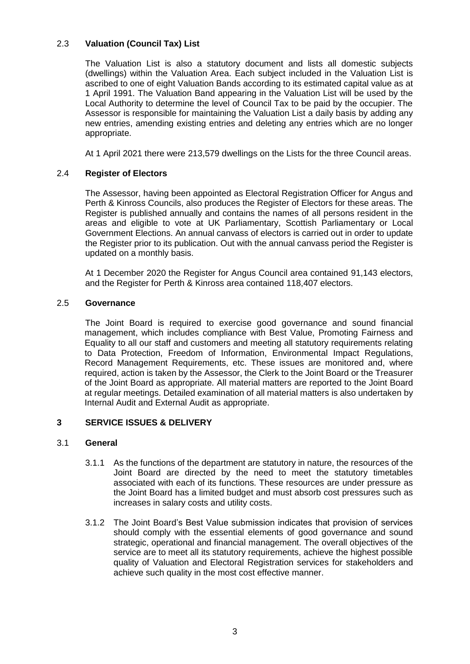#### 2.3 **Valuation (Council Tax) List**

The Valuation List is also a statutory document and lists all domestic subjects (dwellings) within the Valuation Area. Each subject included in the Valuation List is ascribed to one of eight Valuation Bands according to its estimated capital value as at 1 April 1991. The Valuation Band appearing in the Valuation List will be used by the Local Authority to determine the level of Council Tax to be paid by the occupier. The Assessor is responsible for maintaining the Valuation List a daily basis by adding any new entries, amending existing entries and deleting any entries which are no longer appropriate.

At 1 April 2021 there were 213,579 dwellings on the Lists for the three Council areas.

#### 2.4 **Register of Electors**

The Assessor, having been appointed as Electoral Registration Officer for Angus and Perth & Kinross Councils, also produces the Register of Electors for these areas. The Register is published annually and contains the names of all persons resident in the areas and eligible to vote at UK Parliamentary, Scottish Parliamentary or Local Government Elections. An annual canvass of electors is carried out in order to update the Register prior to its publication. Out with the annual canvass period the Register is updated on a monthly basis.

At 1 December 2020 the Register for Angus Council area contained 91,143 electors, and the Register for Perth & Kinross area contained 118,407 electors.

#### 2.5 **Governance**

The Joint Board is required to exercise good governance and sound financial management, which includes compliance with Best Value, Promoting Fairness and Equality to all our staff and customers and meeting all statutory requirements relating to Data Protection, Freedom of Information, Environmental Impact Regulations, Record Management Requirements, etc. These issues are monitored and, where required, action is taken by the Assessor, the Clerk to the Joint Board or the Treasurer of the Joint Board as appropriate. All material matters are reported to the Joint Board at regular meetings. Detailed examination of all material matters is also undertaken by Internal Audit and External Audit as appropriate.

#### **3 SERVICE ISSUES & DELIVERY**

#### 3.1 **General**

- 3.1.1 As the functions of the department are statutory in nature, the resources of the Joint Board are directed by the need to meet the statutory timetables associated with each of its functions. These resources are under pressure as the Joint Board has a limited budget and must absorb cost pressures such as increases in salary costs and utility costs.
- 3.1.2 The Joint Board's Best Value submission indicates that provision of services should comply with the essential elements of good governance and sound strategic, operational and financial management. The overall objectives of the service are to meet all its statutory requirements, achieve the highest possible quality of Valuation and Electoral Registration services for stakeholders and achieve such quality in the most cost effective manner.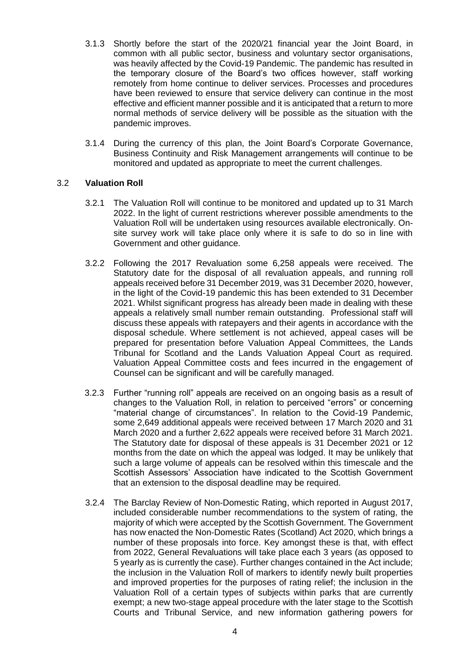- 3.1.3 Shortly before the start of the 2020/21 financial year the Joint Board, in common with all public sector, business and voluntary sector organisations, was heavily affected by the Covid-19 Pandemic. The pandemic has resulted in the temporary closure of the Board's two offices however, staff working remotely from home continue to deliver services. Processes and procedures have been reviewed to ensure that service delivery can continue in the most effective and efficient manner possible and it is anticipated that a return to more normal methods of service delivery will be possible as the situation with the pandemic improves.
- 3.1.4 During the currency of this plan, the Joint Board's Corporate Governance, Business Continuity and Risk Management arrangements will continue to be monitored and updated as appropriate to meet the current challenges.

#### 3.2 **Valuation Roll**

- 3.2.1 The Valuation Roll will continue to be monitored and updated up to 31 March 2022. In the light of current restrictions wherever possible amendments to the Valuation Roll will be undertaken using resources available electronically. Onsite survey work will take place only where it is safe to do so in line with Government and other guidance.
- 3.2.2 Following the 2017 Revaluation some 6,258 appeals were received. The Statutory date for the disposal of all revaluation appeals, and running roll appeals received before 31 December 2019, was 31 December 2020, however, in the light of the Covid-19 pandemic this has been extended to 31 December 2021. Whilst significant progress has already been made in dealing with these appeals a relatively small number remain outstanding. Professional staff will discuss these appeals with ratepayers and their agents in accordance with the disposal schedule. Where settlement is not achieved, appeal cases will be prepared for presentation before Valuation Appeal Committees, the Lands Tribunal for Scotland and the Lands Valuation Appeal Court as required. Valuation Appeal Committee costs and fees incurred in the engagement of Counsel can be significant and will be carefully managed.
- 3.2.3 Further "running roll" appeals are received on an ongoing basis as a result of changes to the Valuation Roll, in relation to perceived "errors" or concerning "material change of circumstances". In relation to the Covid-19 Pandemic, some 2,649 additional appeals were received between 17 March 2020 and 31 March 2020 and a further 2,622 appeals were received before 31 March 2021. The Statutory date for disposal of these appeals is 31 December 2021 or 12 months from the date on which the appeal was lodged. It may be unlikely that such a large volume of appeals can be resolved within this timescale and the Scottish Assessors' Association have indicated to the Scottish Government that an extension to the disposal deadline may be required.
- 3.2.4 The Barclay Review of Non-Domestic Rating, which reported in August 2017, included considerable number recommendations to the system of rating, the majority of which were accepted by the Scottish Government. The Government has now enacted the Non-Domestic Rates (Scotland) Act 2020, which brings a number of these proposals into force. Key amongst these is that, with effect from 2022, General Revaluations will take place each 3 years (as opposed to 5 yearly as is currently the case). Further changes contained in the Act include; the inclusion in the Valuation Roll of markers to identify newly built properties and improved properties for the purposes of rating relief; the inclusion in the Valuation Roll of a certain types of subjects within parks that are currently exempt; a new two-stage appeal procedure with the later stage to the Scottish Courts and Tribunal Service, and new information gathering powers for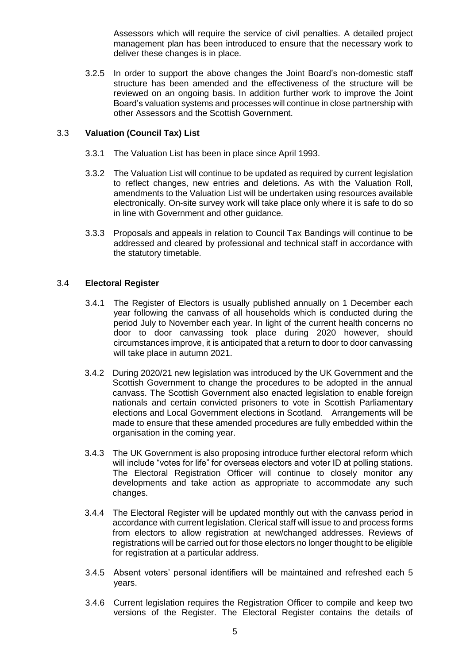Assessors which will require the service of civil penalties. A detailed project management plan has been introduced to ensure that the necessary work to deliver these changes is in place.

3.2.5 In order to support the above changes the Joint Board's non-domestic staff structure has been amended and the effectiveness of the structure will be reviewed on an ongoing basis. In addition further work to improve the Joint Board's valuation systems and processes will continue in close partnership with other Assessors and the Scottish Government.

#### 3.3 **Valuation (Council Tax) List**

- 3.3.1 The Valuation List has been in place since April 1993.
- 3.3.2 The Valuation List will continue to be updated as required by current legislation to reflect changes, new entries and deletions. As with the Valuation Roll, amendments to the Valuation List will be undertaken using resources available electronically. On-site survey work will take place only where it is safe to do so in line with Government and other guidance.
- 3.3.3 Proposals and appeals in relation to Council Tax Bandings will continue to be addressed and cleared by professional and technical staff in accordance with the statutory timetable.

#### 3.4 **Electoral Register**

- 3.4.1 The Register of Electors is usually published annually on 1 December each year following the canvass of all households which is conducted during the period July to November each year. In light of the current health concerns no door to door canvassing took place during 2020 however, should circumstances improve, it is anticipated that a return to door to door canvassing will take place in autumn 2021.
- 3.4.2 During 2020/21 new legislation was introduced by the UK Government and the Scottish Government to change the procedures to be adopted in the annual canvass. The Scottish Government also enacted legislation to enable foreign nationals and certain convicted prisoners to vote in Scottish Parliamentary elections and Local Government elections in Scotland. Arrangements will be made to ensure that these amended procedures are fully embedded within the organisation in the coming year.
- 3.4.3 The UK Government is also proposing introduce further electoral reform which will include "votes for life" for overseas electors and voter ID at polling stations. The Electoral Registration Officer will continue to closely monitor any developments and take action as appropriate to accommodate any such changes.
- 3.4.4 The Electoral Register will be updated monthly out with the canvass period in accordance with current legislation. Clerical staff will issue to and process forms from electors to allow registration at new/changed addresses. Reviews of registrations will be carried out for those electors no longer thought to be eligible for registration at a particular address.
- 3.4.5 Absent voters' personal identifiers will be maintained and refreshed each 5 years.
- 3.4.6 Current legislation requires the Registration Officer to compile and keep two versions of the Register. The Electoral Register contains the details of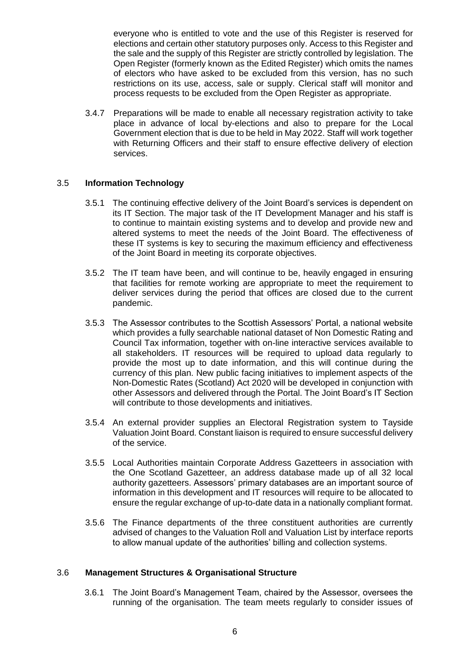everyone who is entitled to vote and the use of this Register is reserved for elections and certain other statutory purposes only. Access to this Register and the sale and the supply of this Register are strictly controlled by legislation. The Open Register (formerly known as the Edited Register) which omits the names of electors who have asked to be excluded from this version, has no such restrictions on its use, access, sale or supply. Clerical staff will monitor and process requests to be excluded from the Open Register as appropriate.

3.4.7 Preparations will be made to enable all necessary registration activity to take place in advance of local by-elections and also to prepare for the Local Government election that is due to be held in May 2022. Staff will work together with Returning Officers and their staff to ensure effective delivery of election services.

#### 3.5 **Information Technology**

- 3.5.1 The continuing effective delivery of the Joint Board's services is dependent on its IT Section. The major task of the IT Development Manager and his staff is to continue to maintain existing systems and to develop and provide new and altered systems to meet the needs of the Joint Board. The effectiveness of these IT systems is key to securing the maximum efficiency and effectiveness of the Joint Board in meeting its corporate objectives.
- 3.5.2 The IT team have been, and will continue to be, heavily engaged in ensuring that facilities for remote working are appropriate to meet the requirement to deliver services during the period that offices are closed due to the current pandemic.
- 3.5.3 The Assessor contributes to the Scottish Assessors' Portal, a national website which provides a fully searchable national dataset of Non Domestic Rating and Council Tax information, together with on-line interactive services available to all stakeholders. IT resources will be required to upload data regularly to provide the most up to date information, and this will continue during the currency of this plan. New public facing initiatives to implement aspects of the Non-Domestic Rates (Scotland) Act 2020 will be developed in conjunction with other Assessors and delivered through the Portal. The Joint Board's IT Section will contribute to those developments and initiatives.
- 3.5.4 An external provider supplies an Electoral Registration system to Tayside Valuation Joint Board. Constant liaison is required to ensure successful delivery of the service.
- 3.5.5 Local Authorities maintain Corporate Address Gazetteers in association with the One Scotland Gazetteer, an address database made up of all 32 local authority gazetteers. Assessors' primary databases are an important source of information in this development and IT resources will require to be allocated to ensure the regular exchange of up-to-date data in a nationally compliant format.
- 3.5.6 The Finance departments of the three constituent authorities are currently advised of changes to the Valuation Roll and Valuation List by interface reports to allow manual update of the authorities' billing and collection systems.

#### 3.6 **Management Structures & Organisational Structure**

3.6.1 The Joint Board's Management Team, chaired by the Assessor, oversees the running of the organisation. The team meets regularly to consider issues of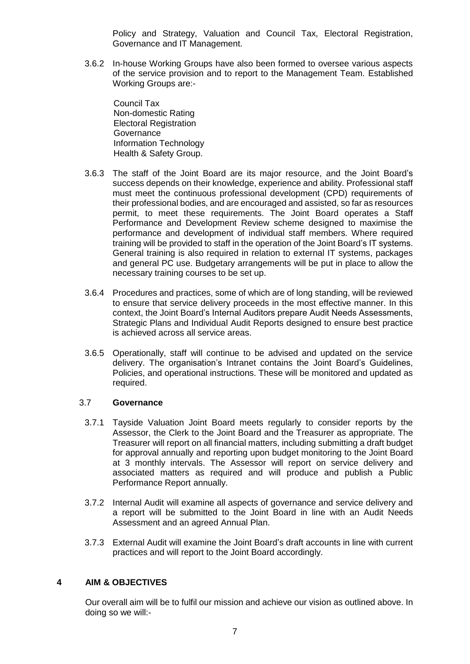Policy and Strategy, Valuation and Council Tax, Electoral Registration, Governance and IT Management.

3.6.2 In-house Working Groups have also been formed to oversee various aspects of the service provision and to report to the Management Team. Established Working Groups are:-

Council Tax Non-domestic Rating Electoral Registration **Governance** Information Technology Health & Safety Group.

- 3.6.3 The staff of the Joint Board are its major resource, and the Joint Board's success depends on their knowledge, experience and ability. Professional staff must meet the continuous professional development (CPD) requirements of their professional bodies, and are encouraged and assisted, so far as resources permit, to meet these requirements. The Joint Board operates a Staff Performance and Development Review scheme designed to maximise the performance and development of individual staff members. Where required training will be provided to staff in the operation of the Joint Board's IT systems. General training is also required in relation to external IT systems, packages and general PC use. Budgetary arrangements will be put in place to allow the necessary training courses to be set up.
- 3.6.4 Procedures and practices, some of which are of long standing, will be reviewed to ensure that service delivery proceeds in the most effective manner. In this context, the Joint Board's Internal Auditors prepare Audit Needs Assessments, Strategic Plans and Individual Audit Reports designed to ensure best practice is achieved across all service areas.
- 3.6.5 Operationally, staff will continue to be advised and updated on the service delivery. The organisation's Intranet contains the Joint Board's Guidelines, Policies, and operational instructions. These will be monitored and updated as required.

#### 3.7 **Governance**

- 3.7.1 Tayside Valuation Joint Board meets regularly to consider reports by the Assessor, the Clerk to the Joint Board and the Treasurer as appropriate. The Treasurer will report on all financial matters, including submitting a draft budget for approval annually and reporting upon budget monitoring to the Joint Board at 3 monthly intervals. The Assessor will report on service delivery and associated matters as required and will produce and publish a Public Performance Report annually.
- 3.7.2 Internal Audit will examine all aspects of governance and service delivery and a report will be submitted to the Joint Board in line with an Audit Needs Assessment and an agreed Annual Plan.
- 3.7.3 External Audit will examine the Joint Board's draft accounts in line with current practices and will report to the Joint Board accordingly.

#### **4 AIM & OBJECTIVES**

Our overall aim will be to fulfil our mission and achieve our vision as outlined above. In doing so we will:-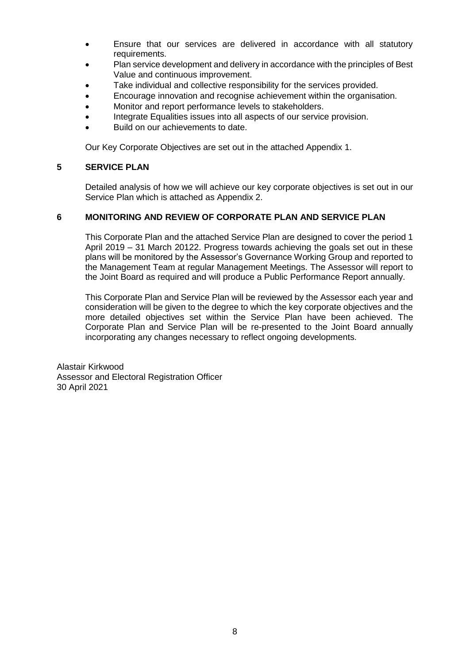- Ensure that our services are delivered in accordance with all statutory requirements.
- Plan service development and delivery in accordance with the principles of Best Value and continuous improvement.
- Take individual and collective responsibility for the services provided.
- Encourage innovation and recognise achievement within the organisation.
- Monitor and report performance levels to stakeholders.
- Integrate Equalities issues into all aspects of our service provision.
- Build on our achievements to date.

Our Key Corporate Objectives are set out in the attached Appendix 1.

#### **5 SERVICE PLAN**

Detailed analysis of how we will achieve our key corporate objectives is set out in our Service Plan which is attached as Appendix 2.

#### **6 MONITORING AND REVIEW OF CORPORATE PLAN AND SERVICE PLAN**

This Corporate Plan and the attached Service Plan are designed to cover the period 1 April 2019 – 31 March 20122. Progress towards achieving the goals set out in these plans will be monitored by the Assessor's Governance Working Group and reported to the Management Team at regular Management Meetings. The Assessor will report to the Joint Board as required and will produce a Public Performance Report annually.

This Corporate Plan and Service Plan will be reviewed by the Assessor each year and consideration will be given to the degree to which the key corporate objectives and the more detailed objectives set within the Service Plan have been achieved. The Corporate Plan and Service Plan will be re-presented to the Joint Board annually incorporating any changes necessary to reflect ongoing developments.

Alastair Kirkwood Assessor and Electoral Registration Officer 30 April 2021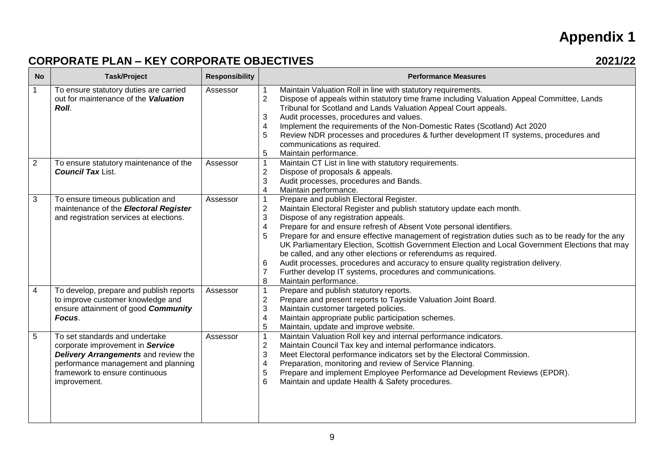# **Appendix 1**

## **CORPORATE PLAN – KEY CORPORATE OBJECTIVES 2021/22**

| <b>No</b>       | <b>Task/Project</b>                                                                                                                                                                                 | <b>Responsibility</b> | <b>Performance Measures</b>                                                                                                                                                                                                                                                                                                                                                                                                                                                                                                                                                                                                                                                                                                      |
|-----------------|-----------------------------------------------------------------------------------------------------------------------------------------------------------------------------------------------------|-----------------------|----------------------------------------------------------------------------------------------------------------------------------------------------------------------------------------------------------------------------------------------------------------------------------------------------------------------------------------------------------------------------------------------------------------------------------------------------------------------------------------------------------------------------------------------------------------------------------------------------------------------------------------------------------------------------------------------------------------------------------|
| $\mathbf{1}$    | To ensure statutory duties are carried<br>out for maintenance of the Valuation<br>Roll.                                                                                                             | Assessor              | Maintain Valuation Roll in line with statutory requirements.<br>$\overline{2}$<br>Dispose of appeals within statutory time frame including Valuation Appeal Committee, Lands<br>Tribunal for Scotland and Lands Valuation Appeal Court appeals.<br>Audit processes, procedures and values.<br>3<br>Implement the requirements of the Non-Domestic Rates (Scotland) Act 2020<br>Review NDR processes and procedures & further development IT systems, procedures and<br>5<br>communications as required.<br>Maintain performance.<br>5                                                                                                                                                                                            |
| $\overline{2}$  | To ensure statutory maintenance of the<br><b>Council Tax List.</b>                                                                                                                                  | Assessor              | Maintain CT List in line with statutory requirements.<br>1<br>$\overline{c}$<br>Dispose of proposals & appeals.<br>3<br>Audit processes, procedures and Bands.<br>Maintain performance.<br>4                                                                                                                                                                                                                                                                                                                                                                                                                                                                                                                                     |
| $\mathbf{3}$    | To ensure timeous publication and<br>maintenance of the Electoral Register<br>and registration services at elections.                                                                               | Assessor              | Prepare and publish Electoral Register.<br>$\overline{c}$<br>Maintain Electoral Register and publish statutory update each month.<br>3<br>Dispose of any registration appeals.<br>Prepare for and ensure refresh of Absent Vote personal identifiers.<br>4<br>Prepare for and ensure effective management of registration duties such as to be ready for the any<br>5<br>UK Parliamentary Election, Scottish Government Election and Local Government Elections that may<br>be called, and any other elections or referendums as required.<br>Audit processes, procedures and accuracy to ensure quality registration delivery.<br>6<br>Further develop IT systems, procedures and communications.<br>Maintain performance.<br>8 |
| $\overline{4}$  | To develop, prepare and publish reports<br>to improve customer knowledge and<br>ensure attainment of good Community<br>Focus.                                                                       | Assessor              | Prepare and publish statutory reports.<br>1<br>$\overline{2}$<br>Prepare and present reports to Tayside Valuation Joint Board.<br>3<br>Maintain customer targeted policies.<br>Maintain appropriate public participation schemes.<br>4<br>5<br>Maintain, update and improve website.                                                                                                                                                                                                                                                                                                                                                                                                                                             |
| $5\overline{5}$ | To set standards and undertake<br>corporate improvement in Service<br>Delivery Arrangements and review the<br>performance management and planning<br>framework to ensure continuous<br>improvement. | Assessor              | Maintain Valuation Roll key and internal performance indicators.<br>$\mathbf 1$<br>$\overline{c}$<br>Maintain Council Tax key and internal performance indicators.<br>3<br>Meet Electoral performance indicators set by the Electoral Commission.<br>Preparation, monitoring and review of Service Planning.<br>4<br>Prepare and implement Employee Performance ad Development Reviews (EPDR).<br>5<br>Maintain and update Health & Safety procedures.<br>6                                                                                                                                                                                                                                                                      |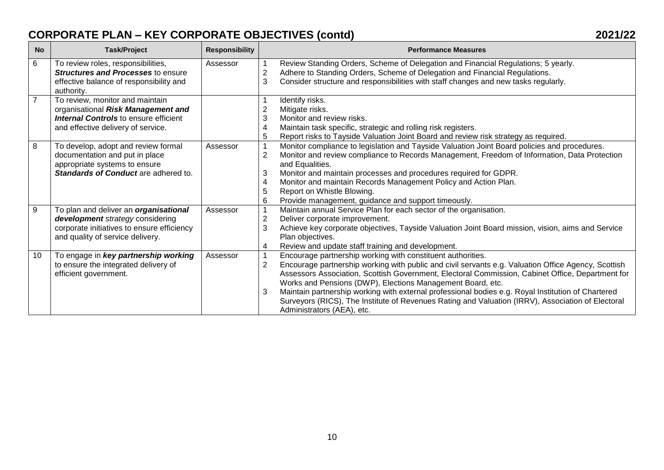## **CORPORATE PLAN – KEY CORPORATE OBJECTIVES (contd) 2021/22**

| <b>No</b>      | <b>Task/Project</b>                                                                                                                                                | <b>Responsibility</b> | <b>Performance Measures</b>                                                                                                                                                                                                                                                                                                                                                                                                                                                                                                                                                                          |
|----------------|--------------------------------------------------------------------------------------------------------------------------------------------------------------------|-----------------------|------------------------------------------------------------------------------------------------------------------------------------------------------------------------------------------------------------------------------------------------------------------------------------------------------------------------------------------------------------------------------------------------------------------------------------------------------------------------------------------------------------------------------------------------------------------------------------------------------|
| 6              | To review roles, responsibilities,<br><b>Structures and Processes to ensure</b><br>effective balance of responsibility and<br>authority.                           | Assessor              | Review Standing Orders, Scheme of Delegation and Financial Regulations; 5 yearly.<br>$\overline{2}$<br>Adhere to Standing Orders, Scheme of Delegation and Financial Regulations.<br>3<br>Consider structure and responsibilities with staff changes and new tasks regularly.                                                                                                                                                                                                                                                                                                                        |
| $\overline{7}$ | To review, monitor and maintain<br>organisational Risk Management and<br><b>Internal Controls</b> to ensure efficient<br>and effective delivery of service.        |                       | Identify risks.<br>2<br>Mitigate risks.<br>3<br>Monitor and review risks.<br>Maintain task specific, strategic and rolling risk registers.<br>4<br>5<br>Report risks to Tayside Valuation Joint Board and review risk strategy as required.                                                                                                                                                                                                                                                                                                                                                          |
| 8              | To develop, adopt and review formal<br>documentation and put in place<br>appropriate systems to ensure<br><b>Standards of Conduct are adhered to.</b>              | Assessor              | Monitor compliance to legislation and Tayside Valuation Joint Board policies and procedures.<br>$\overline{2}$<br>Monitor and review compliance to Records Management, Freedom of Information, Data Protection<br>and Equalities.<br>Monitor and maintain processes and procedures required for GDPR.<br>3<br>Monitor and maintain Records Management Policy and Action Plan.<br>4<br>Report on Whistle Blowing.<br>5<br>Provide management, guidance and support timeously.<br>6                                                                                                                    |
| 9              | To plan and deliver an <i>organisational</i><br>development strategy considering<br>corporate initiatives to ensure efficiency<br>and quality of service delivery. | Assessor              | Maintain annual Service Plan for each sector of the organisation.<br>$\overline{2}$<br>Deliver corporate improvement.<br>3<br>Achieve key corporate objectives, Tayside Valuation Joint Board mission, vision, aims and Service<br>Plan objectives.<br>Review and update staff training and development.<br>4                                                                                                                                                                                                                                                                                        |
| 10             | To engage in key partnership working<br>to ensure the integrated delivery of<br>efficient government.                                                              | Assessor              | Encourage partnership working with constituent authorities.<br>$\overline{2}$<br>Encourage partnership working with public and civil servants e.g. Valuation Office Agency, Scottish<br>Assessors Association, Scottish Government, Electoral Commission, Cabinet Office, Department for<br>Works and Pensions (DWP), Elections Management Board, etc.<br>Maintain partnership working with external professional bodies e.g. Royal Institution of Chartered<br>3<br>Surveyors (RICS), The Institute of Revenues Rating and Valuation (IRRV), Association of Electoral<br>Administrators (AEA), etc. |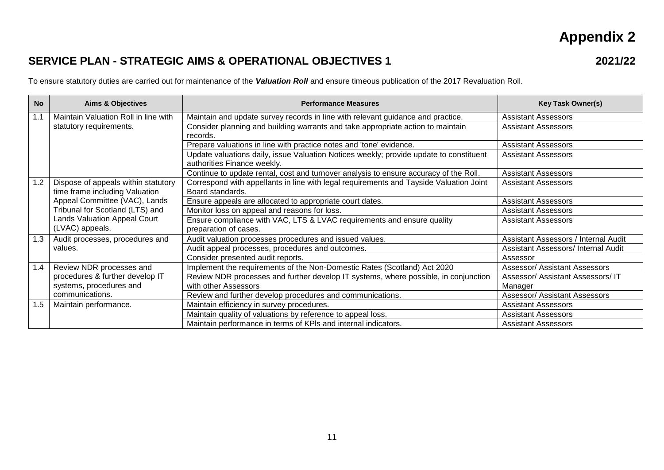## **Appendix 2**

### **SERVICE PLAN - STRATEGIC AIMS & OPERATIONAL OBJECTIVES 1 2021/22**

To ensure statutory duties are carried out for maintenance of the *Valuation Roll* and ensure timeous publication of the 2017 Revaluation Roll.

| <b>No</b> | <b>Aims &amp; Objectives</b>         | <b>Performance Measures</b>                                                            | <b>Key Task Owner(s)</b>             |
|-----------|--------------------------------------|----------------------------------------------------------------------------------------|--------------------------------------|
| 1.1       | Maintain Valuation Roll in line with | Maintain and update survey records in line with relevant guidance and practice.        | <b>Assistant Assessors</b>           |
|           | statutory requirements.              | Consider planning and building warrants and take appropriate action to maintain        | <b>Assistant Assessors</b>           |
|           |                                      | records.                                                                               |                                      |
|           |                                      | Prepare valuations in line with practice notes and 'tone' evidence.                    | <b>Assistant Assessors</b>           |
|           |                                      | Update valuations daily, issue Valuation Notices weekly; provide update to constituent | <b>Assistant Assessors</b>           |
|           |                                      | authorities Finance weekly.                                                            |                                      |
|           |                                      | Continue to update rental, cost and turnover analysis to ensure accuracy of the Roll.  | <b>Assistant Assessors</b>           |
| 1.2       | Dispose of appeals within statutory  | Correspond with appellants in line with legal requirements and Tayside Valuation Joint | <b>Assistant Assessors</b>           |
|           | time frame including Valuation       | Board standards.                                                                       |                                      |
|           | Appeal Committee (VAC), Lands        | Ensure appeals are allocated to appropriate court dates.                               | <b>Assistant Assessors</b>           |
|           | Tribunal for Scotland (LTS) and      | Monitor loss on appeal and reasons for loss.                                           | <b>Assistant Assessors</b>           |
|           | Lands Valuation Appeal Court         | Ensure compliance with VAC, LTS & LVAC requirements and ensure quality                 | <b>Assistant Assessors</b>           |
|           | (LVAC) appeals.                      | preparation of cases.                                                                  |                                      |
| 1.3       | Audit processes, procedures and      | Audit valuation processes procedures and issued values.                                | Assistant Assessors / Internal Audit |
|           | values.                              | Audit appeal processes, procedures and outcomes.                                       | Assistant Assessors/ Internal Audit  |
|           |                                      | Consider presented audit reports.                                                      | Assessor                             |
| 1.4       | Review NDR processes and             | Implement the requirements of the Non-Domestic Rates (Scotland) Act 2020               | <b>Assessor/ Assistant Assessors</b> |
|           | procedures & further develop IT      | Review NDR processes and further develop IT systems, where possible, in conjunction    | Assessor/ Assistant Assessors/ IT    |
|           | systems, procedures and              | with other Assessors                                                                   | Manager                              |
|           | communications.                      | Review and further develop procedures and communications.                              | <b>Assessor/ Assistant Assessors</b> |
| 1.5       | Maintain performance.                | Maintain efficiency in survey procedures.                                              | <b>Assistant Assessors</b>           |
|           |                                      | Maintain quality of valuations by reference to appeal loss.                            | <b>Assistant Assessors</b>           |
|           |                                      | Maintain performance in terms of KPIs and internal indicators.                         | <b>Assistant Assessors</b>           |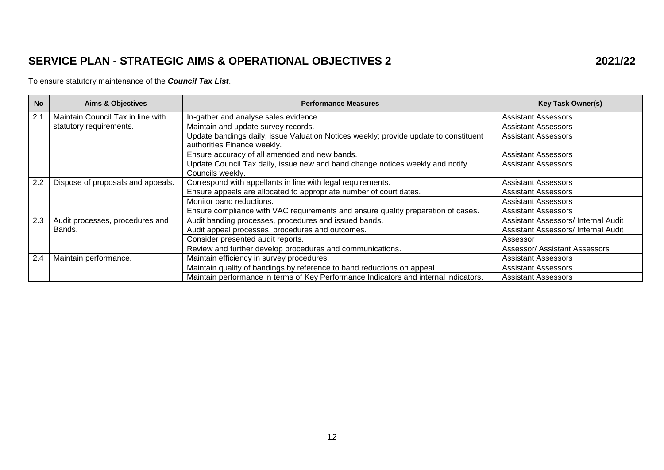## **SERVICE PLAN - STRATEGIC AIMS & OPERATIONAL OBJECTIVES 2 2021/22**

#### To ensure statutory maintenance of the *Council Tax List*.

| <b>No</b> | <b>Aims &amp; Objectives</b>      | <b>Performance Measures</b>                                                                                         | <b>Key Task Owner(s)</b>             |
|-----------|-----------------------------------|---------------------------------------------------------------------------------------------------------------------|--------------------------------------|
| 2.1       | Maintain Council Tax in line with | In-gather and analyse sales evidence.                                                                               | <b>Assistant Assessors</b>           |
|           | statutory requirements.           | Maintain and update survey records.                                                                                 | <b>Assistant Assessors</b>           |
|           |                                   | Update bandings daily, issue Valuation Notices weekly; provide update to constituent<br>authorities Finance weekly. | <b>Assistant Assessors</b>           |
|           |                                   | Ensure accuracy of all amended and new bands.                                                                       | <b>Assistant Assessors</b>           |
|           |                                   | Update Council Tax daily, issue new and band change notices weekly and notify<br>Councils weekly.                   | <b>Assistant Assessors</b>           |
| 2.2       | Dispose of proposals and appeals. | Correspond with appellants in line with legal requirements.                                                         | <b>Assistant Assessors</b>           |
|           |                                   | Ensure appeals are allocated to appropriate number of court dates.                                                  | <b>Assistant Assessors</b>           |
|           |                                   | Monitor band reductions.                                                                                            | <b>Assistant Assessors</b>           |
|           |                                   | Ensure compliance with VAC requirements and ensure quality preparation of cases.                                    | <b>Assistant Assessors</b>           |
| 2.3       | Audit processes, procedures and   | Audit banding processes, procedures and issued bands.                                                               | Assistant Assessors/ Internal Audit  |
|           | Bands.                            | Audit appeal processes, procedures and outcomes.                                                                    | Assistant Assessors/ Internal Audit  |
|           |                                   | Consider presented audit reports.                                                                                   | Assessor                             |
|           |                                   | Review and further develop procedures and communications.                                                           | <b>Assessor/ Assistant Assessors</b> |
| 2.4       | Maintain performance.             | Maintain efficiency in survey procedures.                                                                           | <b>Assistant Assessors</b>           |
|           |                                   | Maintain quality of bandings by reference to band reductions on appeal.                                             | <b>Assistant Assessors</b>           |
|           |                                   | Maintain performance in terms of Key Performance Indicators and internal indicators.                                | <b>Assistant Assessors</b>           |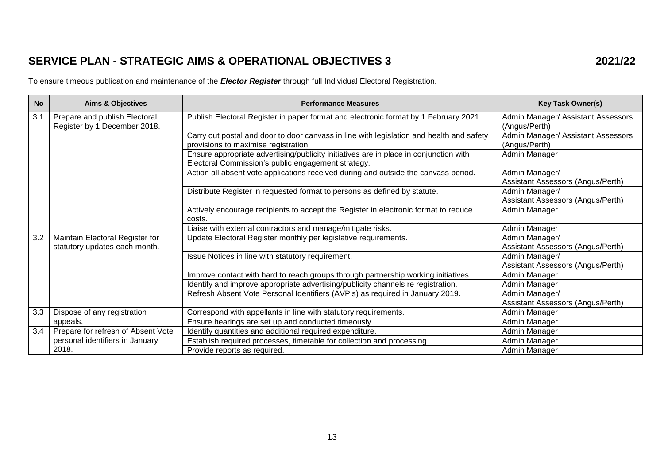## **SERVICE PLAN - STRATEGIC AIMS & OPERATIONAL OBJECTIVES 3 2021/22**

To ensure timeous publication and maintenance of the *Elector Register* through full Individual Electoral Registration.

| <b>No</b> | <b>Aims &amp; Objectives</b>                                     | <b>Performance Measures</b>                                                                                                                 | <b>Key Task Owner(s)</b>                            |
|-----------|------------------------------------------------------------------|---------------------------------------------------------------------------------------------------------------------------------------------|-----------------------------------------------------|
| 3.1       | Prepare and publish Electoral<br>Register by 1 December 2018.    | Publish Electoral Register in paper format and electronic format by 1 February 2021.                                                        | Admin Manager/ Assistant Assessors<br>(Angus/Perth) |
|           |                                                                  | Carry out postal and door to door canvass in line with legislation and health and safety<br>provisions to maximise registration.            | Admin Manager/ Assistant Assessors<br>(Angus/Perth) |
|           |                                                                  | Ensure appropriate advertising/publicity initiatives are in place in conjunction with<br>Electoral Commission's public engagement strategy. | Admin Manager                                       |
|           |                                                                  | Action all absent vote applications received during and outside the canvass period.                                                         | Admin Manager/<br>Assistant Assessors (Angus/Perth) |
|           |                                                                  | Distribute Register in requested format to persons as defined by statute.                                                                   | Admin Manager/<br>Assistant Assessors (Angus/Perth) |
|           |                                                                  | Actively encourage recipients to accept the Register in electronic format to reduce<br>costs.                                               | Admin Manager                                       |
|           |                                                                  | Liaise with external contractors and manage/mitigate risks.                                                                                 | Admin Manager                                       |
| 3.2       | Maintain Electoral Register for<br>statutory updates each month. | Update Electoral Register monthly per legislative requirements.                                                                             | Admin Manager/<br>Assistant Assessors (Angus/Perth) |
|           |                                                                  | Issue Notices in line with statutory requirement.                                                                                           | Admin Manager/<br>Assistant Assessors (Angus/Perth) |
|           |                                                                  | Improve contact with hard to reach groups through partnership working initiatives.                                                          | Admin Manager                                       |
|           |                                                                  | Identify and improve appropriate advertising/publicity channels re registration.                                                            | Admin Manager                                       |
|           |                                                                  | Refresh Absent Vote Personal Identifiers (AVPIs) as required in January 2019.                                                               | Admin Manager/                                      |
|           |                                                                  |                                                                                                                                             | Assistant Assessors (Angus/Perth)                   |
| 3.3       | Dispose of any registration                                      | Correspond with appellants in line with statutory requirements.                                                                             | Admin Manager                                       |
|           | appeals.                                                         | Ensure hearings are set up and conducted timeously.                                                                                         | Admin Manager                                       |
| 3.4       | Prepare for refresh of Absent Vote                               | Identify quantities and additional required expenditure.                                                                                    | Admin Manager                                       |
|           | personal identifiers in January                                  | Establish required processes, timetable for collection and processing.                                                                      | Admin Manager                                       |
|           | 2018.                                                            | Provide reports as required.                                                                                                                | Admin Manager                                       |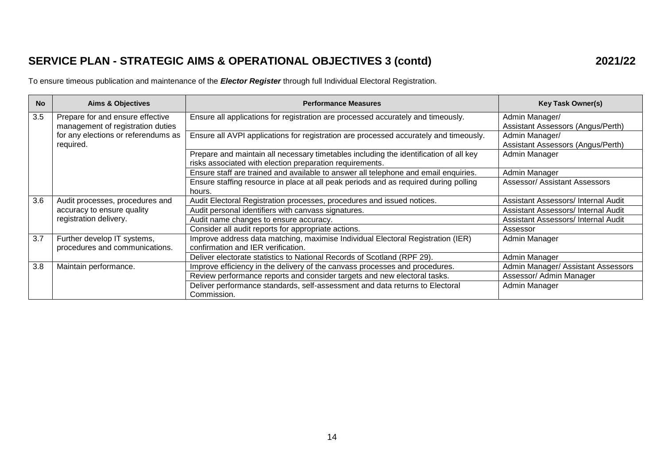## **SERVICE PLAN - STRATEGIC AIMS & OPERATIONAL OBJECTIVES 3 (contd) 2021/22**

To ensure timeous publication and maintenance of the *Elector Register* through full Individual Electoral Registration.

| <b>No</b> | <b>Aims &amp; Objectives</b>                                                                                              | <b>Performance Measures</b>                                                                                                                       | <b>Key Task Owner(s)</b>                            |
|-----------|---------------------------------------------------------------------------------------------------------------------------|---------------------------------------------------------------------------------------------------------------------------------------------------|-----------------------------------------------------|
| 3.5       | Prepare for and ensure effective<br>management of registration duties<br>for any elections or referendums as<br>required. | Ensure all applications for registration are processed accurately and timeously.                                                                  | Admin Manager/<br>Assistant Assessors (Angus/Perth) |
|           |                                                                                                                           | Ensure all AVPI applications for registration are processed accurately and timeously.                                                             | Admin Manager/<br>Assistant Assessors (Angus/Perth) |
|           |                                                                                                                           | Prepare and maintain all necessary timetables including the identification of all key<br>risks associated with election preparation requirements. | Admin Manager                                       |
|           |                                                                                                                           | Ensure staff are trained and available to answer all telephone and email enquiries.                                                               | Admin Manager                                       |
|           |                                                                                                                           | Ensure staffing resource in place at all peak periods and as required during polling<br>hours.                                                    | Assessor/ Assistant Assessors                       |
| 3.6       | Audit processes, procedures and                                                                                           | Audit Electoral Registration processes, procedures and issued notices.                                                                            | Assistant Assessors/ Internal Audit                 |
|           | accuracy to ensure quality                                                                                                | Audit personal identifiers with canvass signatures.                                                                                               | Assistant Assessors/ Internal Audit                 |
|           | registration delivery.                                                                                                    | Audit name changes to ensure accuracy.                                                                                                            | Assistant Assessors/ Internal Audit                 |
|           |                                                                                                                           | Consider all audit reports for appropriate actions.                                                                                               | Assessor                                            |
| 3.7       | Further develop IT systems,<br>procedures and communications.                                                             | Improve address data matching, maximise Individual Electoral Registration (IER)<br>confirmation and IER verification.                             | Admin Manager                                       |
|           |                                                                                                                           | Deliver electorate statistics to National Records of Scotland (RPF 29).                                                                           | Admin Manager                                       |
| 3.8       | Maintain performance.                                                                                                     | Improve efficiency in the delivery of the canvass processes and procedures.                                                                       | Admin Manager/ Assistant Assessors                  |
|           |                                                                                                                           | Review performance reports and consider targets and new electoral tasks.                                                                          | Assessor/ Admin Manager                             |
|           |                                                                                                                           | Deliver performance standards, self-assessment and data returns to Electoral<br>Commission.                                                       | Admin Manager                                       |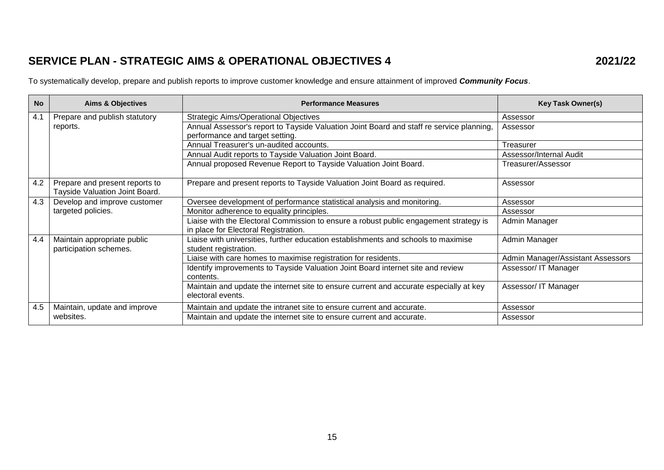## **SERVICE PLAN - STRATEGIC AIMS & OPERATIONAL OBJECTIVES 4 2021/22**

To systematically develop, prepare and publish reports to improve customer knowledge and ensure attainment of improved *Community Focus*.

| <b>No</b> | <b>Aims &amp; Objectives</b>                                     | <b>Performance Measures</b>                                                                                                   | <b>Key Task Owner(s)</b>          |
|-----------|------------------------------------------------------------------|-------------------------------------------------------------------------------------------------------------------------------|-----------------------------------|
| 4.1       | Prepare and publish statutory                                    | <b>Strategic Aims/Operational Objectives</b>                                                                                  | Assessor                          |
|           | reports.                                                         | Annual Assessor's report to Tayside Valuation Joint Board and staff re service planning,                                      | Assessor                          |
|           |                                                                  | performance and target setting.                                                                                               |                                   |
|           |                                                                  | Annual Treasurer's un-audited accounts.                                                                                       | Treasurer                         |
|           |                                                                  | Annual Audit reports to Tayside Valuation Joint Board.                                                                        | Assessor/Internal Audit           |
|           |                                                                  | Annual proposed Revenue Report to Tayside Valuation Joint Board.                                                              | Treasurer/Assessor                |
| 4.2       | Prepare and present reports to<br>Tayside Valuation Joint Board. | Prepare and present reports to Tayside Valuation Joint Board as required.                                                     | Assessor                          |
| 4.3       | Develop and improve customer                                     | Oversee development of performance statistical analysis and monitoring.                                                       | Assessor                          |
|           | targeted policies.                                               | Monitor adherence to equality principles.                                                                                     | Assessor                          |
|           |                                                                  | Liaise with the Electoral Commission to ensure a robust public engagement strategy is<br>in place for Electoral Registration. | Admin Manager                     |
| 4.4       | Maintain appropriate public<br>participation schemes.            | Liaise with universities, further education establishments and schools to maximise<br>student registration.                   | Admin Manager                     |
|           |                                                                  | Liaise with care homes to maximise registration for residents.                                                                | Admin Manager/Assistant Assessors |
|           |                                                                  | Identify improvements to Tayside Valuation Joint Board internet site and review<br>contents.                                  | Assessor/ IT Manager              |
|           |                                                                  | Maintain and update the internet site to ensure current and accurate especially at key<br>electoral events.                   | Assessor/ IT Manager              |
| 4.5       | Maintain, update and improve                                     | Maintain and update the intranet site to ensure current and accurate.                                                         | Assessor                          |
|           | websites.                                                        | Maintain and update the internet site to ensure current and accurate.                                                         | Assessor                          |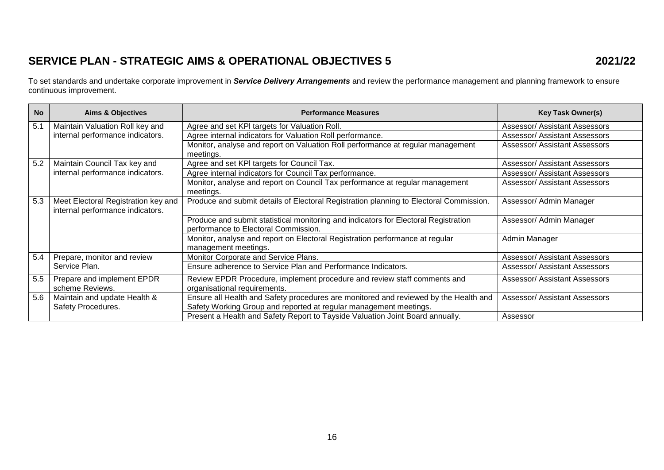## **SERVICE PLAN - STRATEGIC AIMS & OPERATIONAL OBJECTIVES 5 2021/22**

To set standards and undertake corporate improvement in *Service Delivery Arrangements* and review the performance management and planning framework to ensure continuous improvement.

| <b>No</b> | <b>Aims &amp; Objectives</b>        | <b>Performance Measures</b>                                                            | <b>Key Task Owner(s)</b>             |
|-----------|-------------------------------------|----------------------------------------------------------------------------------------|--------------------------------------|
| 5.1       | Maintain Valuation Roll key and     | Agree and set KPI targets for Valuation Roll.                                          | <b>Assessor/ Assistant Assessors</b> |
|           | internal performance indicators.    | Agree internal indicators for Valuation Roll performance.                              | <b>Assessor/ Assistant Assessors</b> |
|           |                                     | Monitor, analyse and report on Valuation Roll performance at regular management        | <b>Assessor/ Assistant Assessors</b> |
|           |                                     | meetings.                                                                              |                                      |
| 5.2       | Maintain Council Tax key and        | Agree and set KPI targets for Council Tax.                                             | Assessor/ Assistant Assessors        |
|           | internal performance indicators.    | Agree internal indicators for Council Tax performance.                                 | <b>Assessor/ Assistant Assessors</b> |
|           |                                     | Monitor, analyse and report on Council Tax performance at regular management           | <b>Assessor/ Assistant Assessors</b> |
|           |                                     | meetings.                                                                              |                                      |
| 5.3       | Meet Electoral Registration key and | Produce and submit details of Electoral Registration planning to Electoral Commission. | Assessor/ Admin Manager              |
|           | internal performance indicators.    |                                                                                        |                                      |
|           |                                     | Produce and submit statistical monitoring and indicators for Electoral Registration    | Assessor/ Admin Manager              |
|           |                                     | performance to Electoral Commission.                                                   |                                      |
|           |                                     | Monitor, analyse and report on Electoral Registration performance at regular           | Admin Manager                        |
|           |                                     | management meetings.                                                                   |                                      |
| 5.4       | Prepare, monitor and review         | Monitor Corporate and Service Plans.                                                   | Assessor/ Assistant Assessors        |
|           | Service Plan.                       | Ensure adherence to Service Plan and Performance Indicators.                           | <b>Assessor/ Assistant Assessors</b> |
| 5.5       | Prepare and implement EPDR          | Review EPDR Procedure, implement procedure and review staff comments and               | <b>Assessor/ Assistant Assessors</b> |
|           | scheme Reviews.                     | organisational requirements.                                                           |                                      |
| 5.6       | Maintain and update Health &        | Ensure all Health and Safety procedures are monitored and reviewed by the Health and   | <b>Assessor/ Assistant Assessors</b> |
|           | Safety Procedures.                  | Safety Working Group and reported at regular management meetings.                      |                                      |
|           |                                     | Present a Health and Safety Report to Tayside Valuation Joint Board annually.          | Assessor                             |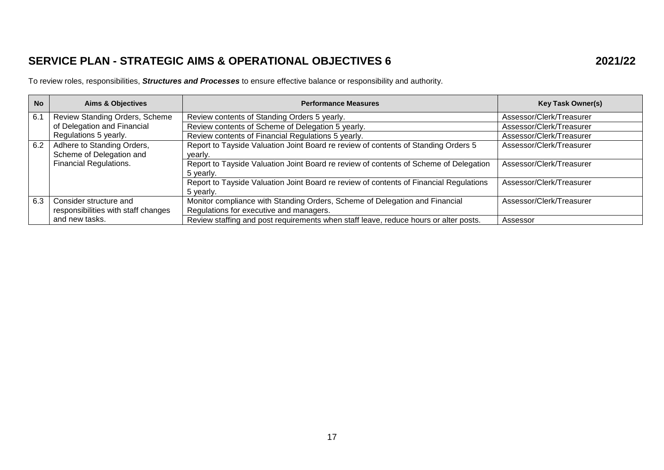## **SERVICE PLAN - STRATEGIC AIMS & OPERATIONAL OBJECTIVES 6 2021/22**

To review roles, responsibilities, *Structures and Processes* to ensure effective balance or responsibility and authority.

| <b>No</b> | <b>Aims &amp; Objectives</b>        | <b>Performance Measures</b>                                                            | <b>Key Task Owner(s)</b> |
|-----------|-------------------------------------|----------------------------------------------------------------------------------------|--------------------------|
| 6.1       | Review Standing Orders, Scheme      | Review contents of Standing Orders 5 yearly.                                           | Assessor/Clerk/Treasurer |
|           | of Delegation and Financial         | Review contents of Scheme of Delegation 5 yearly.                                      | Assessor/Clerk/Treasurer |
|           | Regulations 5 yearly.               | Review contents of Financial Regulations 5 yearly.                                     | Assessor/Clerk/Treasurer |
| 6.2       | Adhere to Standing Orders,          | Report to Tayside Valuation Joint Board re review of contents of Standing Orders 5     | Assessor/Clerk/Treasurer |
|           | Scheme of Delegation and            | vearly.                                                                                |                          |
|           | <b>Financial Regulations.</b>       | Report to Tayside Valuation Joint Board re review of contents of Scheme of Delegation  | Assessor/Clerk/Treasurer |
|           |                                     | 5 yearly.                                                                              |                          |
|           |                                     | Report to Tayside Valuation Joint Board re review of contents of Financial Regulations | Assessor/Clerk/Treasurer |
|           |                                     | 5 yearly.                                                                              |                          |
| 6.3       | Consider structure and              | Monitor compliance with Standing Orders, Scheme of Delegation and Financial            | Assessor/Clerk/Treasurer |
|           | responsibilities with staff changes | Regulations for executive and managers.                                                |                          |
|           | and new tasks.                      | Review staffing and post requirements when staff leave, reduce hours or alter posts.   | Assessor                 |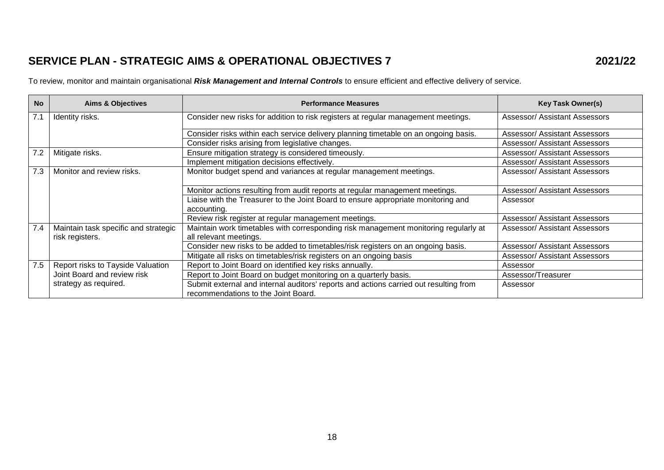## **SERVICE PLAN - STRATEGIC AIMS & OPERATIONAL OBJECTIVES 7 2021/22**

To review, monitor and maintain organisational *Risk Management and Internal Controls* to ensure efficient and effective delivery of service.

| <b>No</b> | <b>Aims &amp; Objectives</b>                            | <b>Performance Measures</b>                                                                                                  | <b>Key Task Owner(s)</b>             |
|-----------|---------------------------------------------------------|------------------------------------------------------------------------------------------------------------------------------|--------------------------------------|
| 7.1       | Identity risks.                                         | Consider new risks for addition to risk registers at regular management meetings.                                            | <b>Assessor/ Assistant Assessors</b> |
|           |                                                         | Consider risks within each service delivery planning timetable on an ongoing basis.                                          | <b>Assessor/ Assistant Assessors</b> |
|           |                                                         | Consider risks arising from legislative changes.                                                                             | <b>Assessor/ Assistant Assessors</b> |
| 7.2       | Mitigate risks.                                         | Ensure mitigation strategy is considered timeously.                                                                          | <b>Assessor/ Assistant Assessors</b> |
|           |                                                         | Implement mitigation decisions effectively.                                                                                  | <b>Assessor/ Assistant Assessors</b> |
| 7.3       | Monitor and review risks.                               | Monitor budget spend and variances at regular management meetings.                                                           | <b>Assessor/ Assistant Assessors</b> |
|           |                                                         | Monitor actions resulting from audit reports at regular management meetings.                                                 | <b>Assessor/ Assistant Assessors</b> |
|           |                                                         | Liaise with the Treasurer to the Joint Board to ensure appropriate monitoring and<br>accounting.                             | Assessor                             |
|           |                                                         | Review risk register at regular management meetings.                                                                         | <b>Assessor/ Assistant Assessors</b> |
| 7.4       | Maintain task specific and strategic<br>risk registers. | Maintain work timetables with corresponding risk management monitoring regularly at<br>all relevant meetings.                | <b>Assessor/ Assistant Assessors</b> |
|           |                                                         | Consider new risks to be added to timetables/risk registers on an ongoing basis.                                             | <b>Assessor/ Assistant Assessors</b> |
|           |                                                         | Mitigate all risks on timetables/risk registers on an ongoing basis                                                          | <b>Assessor/ Assistant Assessors</b> |
| 7.5       | Report risks to Tayside Valuation                       | Report to Joint Board on identified key risks annually.                                                                      | Assessor                             |
|           | Joint Board and review risk                             | Report to Joint Board on budget monitoring on a quarterly basis.                                                             | Assessor/Treasurer                   |
|           | strategy as required.                                   | Submit external and internal auditors' reports and actions carried out resulting from<br>recommendations to the Joint Board. | Assessor                             |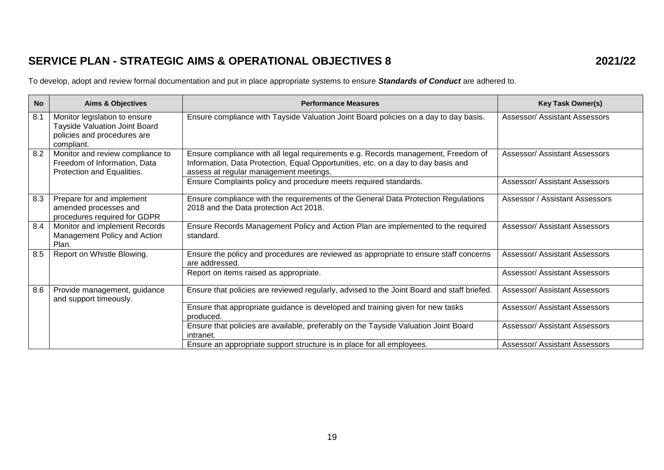## **SERVICE PLAN - STRATEGIC AIMS & OPERATIONAL OBJECTIVES 8 2021/22**

To develop, adopt and review formal documentation and put in place appropriate systems to ensure *Standards of Conduct* are adhered to.

| <b>No</b> | <b>Aims &amp; Objectives</b>                                                                                       | <b>Performance Measures</b>                                                                                                                                                                                      | <b>Key Task Owner(s)</b>             |
|-----------|--------------------------------------------------------------------------------------------------------------------|------------------------------------------------------------------------------------------------------------------------------------------------------------------------------------------------------------------|--------------------------------------|
| 8.1       | Monitor legislation to ensure<br><b>Tayside Valuation Joint Board</b><br>policies and procedures are<br>compliant. | Ensure compliance with Tayside Valuation Joint Board policies on a day to day basis.                                                                                                                             | <b>Assessor/ Assistant Assessors</b> |
| 8.2       | Monitor and review compliance to<br>Freedom of Information, Data<br>Protection and Equalities.                     | Ensure compliance with all legal requirements e.g. Records management, Freedom of<br>Information, Data Protection, Equal Opportunities, etc. on a day to day basis and<br>assess at regular management meetings. | <b>Assessor/ Assistant Assessors</b> |
|           |                                                                                                                    | Ensure Complaints policy and procedure meets required standards.                                                                                                                                                 | <b>Assessor/ Assistant Assessors</b> |
| 8.3       | Prepare for and implement<br>amended processes and<br>procedures required for GDPR                                 | Ensure compliance with the requirements of the General Data Protection Regulations<br>2018 and the Data protection Act 2018.                                                                                     | Assessor / Assistant Assessors       |
| 8.4       | Monitor and implement Records<br>Management Policy and Action<br>Plan.                                             | Ensure Records Management Policy and Action Plan are implemented to the required<br>standard.                                                                                                                    | <b>Assessor/ Assistant Assessors</b> |
| 8.5       | Report on Whistle Blowing.                                                                                         | Ensure the policy and procedures are reviewed as appropriate to ensure staff concerns<br>are addressed.                                                                                                          | Assessor/ Assistant Assessors        |
|           |                                                                                                                    | Report on items raised as appropriate.                                                                                                                                                                           | <b>Assessor/ Assistant Assessors</b> |
| 8.6       | Provide management, guidance<br>and support timeously.                                                             | Ensure that policies are reviewed regularly, advised to the Joint Board and staff briefed.                                                                                                                       | Assessor/ Assistant Assessors        |
|           |                                                                                                                    | Ensure that appropriate guidance is developed and training given for new tasks<br>produced.                                                                                                                      | <b>Assessor/ Assistant Assessors</b> |
|           |                                                                                                                    | Ensure that policies are available, preferably on the Tayside Valuation Joint Board<br>intranet.                                                                                                                 | <b>Assessor/ Assistant Assessors</b> |
|           |                                                                                                                    | Ensure an appropriate support structure is in place for all employees.                                                                                                                                           | Assessor/ Assistant Assessors        |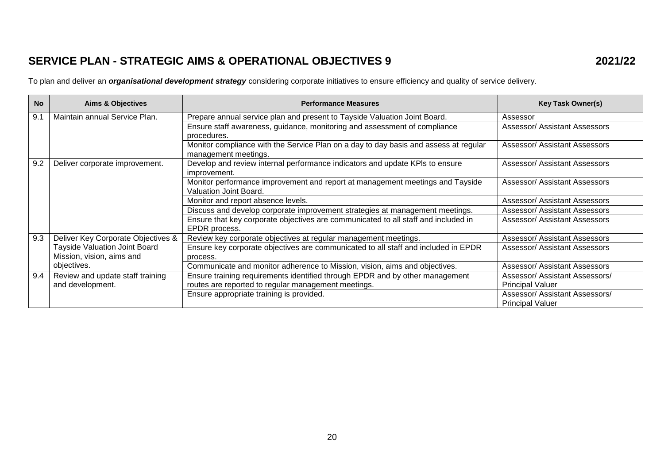## **SERVICE PLAN - STRATEGIC AIMS & OPERATIONAL OBJECTIVES 9 2021/22**

To plan and deliver an *organisational development strategy* considering corporate initiatives to ensure efficiency and quality of service delivery.

| <b>No</b> | <b>Aims &amp; Objectives</b>         | <b>Performance Measures</b>                                                          | <b>Key Task Owner(s)</b>             |
|-----------|--------------------------------------|--------------------------------------------------------------------------------------|--------------------------------------|
| 9.1       | Maintain annual Service Plan.        | Prepare annual service plan and present to Tayside Valuation Joint Board.            | Assessor                             |
|           |                                      | Ensure staff awareness, guidance, monitoring and assessment of compliance            | Assessor/ Assistant Assessors        |
|           |                                      | procedures.                                                                          |                                      |
|           |                                      | Monitor compliance with the Service Plan on a day to day basis and assess at regular | <b>Assessor/ Assistant Assessors</b> |
|           |                                      | management meetings.                                                                 |                                      |
| 9.2       | Deliver corporate improvement.       | Develop and review internal performance indicators and update KPIs to ensure         | <b>Assessor/ Assistant Assessors</b> |
|           |                                      | improvement.                                                                         |                                      |
|           |                                      | Monitor performance improvement and report at management meetings and Tayside        | <b>Assessor/ Assistant Assessors</b> |
|           |                                      | Valuation Joint Board.                                                               |                                      |
|           |                                      | Monitor and report absence levels.                                                   | <b>Assessor/ Assistant Assessors</b> |
|           |                                      | Discuss and develop corporate improvement strategies at management meetings.         | <b>Assessor/ Assistant Assessors</b> |
|           |                                      | Ensure that key corporate objectives are communicated to all staff and included in   | Assessor/ Assistant Assessors        |
|           |                                      | EPDR process.                                                                        |                                      |
| 9.3       | Deliver Key Corporate Objectives &   | Review key corporate objectives at regular management meetings.                      | <b>Assessor/ Assistant Assessors</b> |
|           | <b>Tayside Valuation Joint Board</b> | Ensure key corporate objectives are communicated to all staff and included in EPDR   | <b>Assessor/ Assistant Assessors</b> |
|           | Mission, vision, aims and            | process.                                                                             |                                      |
|           | objectives.                          | Communicate and monitor adherence to Mission, vision, aims and objectives.           | <b>Assessor/ Assistant Assessors</b> |
| 9.4       | Review and update staff training     | Ensure training requirements identified through EPDR and by other management         | Assessor/ Assistant Assessors/       |
|           | and development.                     | routes are reported to regular management meetings.                                  | <b>Principal Valuer</b>              |
|           |                                      | Ensure appropriate training is provided.                                             | Assessor/ Assistant Assessors/       |
|           |                                      |                                                                                      | <b>Principal Valuer</b>              |